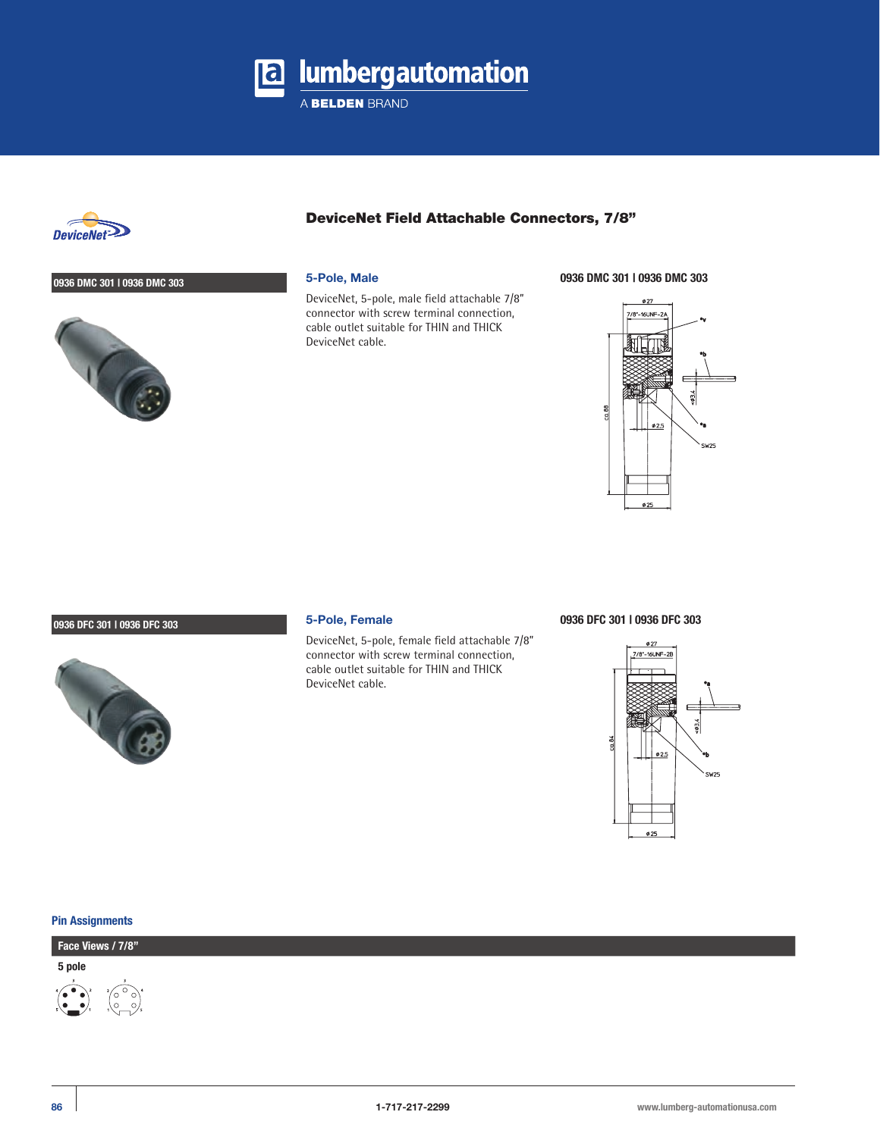

A BELDEN BRAND



### **0936 DMC 301 | 0936 DMC 303**



## DeviceNet Field Attachable Connectors, 7/8"

### **5-Pole, Male**

DeviceNet, 5-pole, male field attachable 7/8" connector with screw terminal connection, cable outlet suitable for THIN and THICK DeviceNet cable.

**0936 DMC 301 | 0936 DMC 303**



### **0936 DFC 301 | 0936 DFC 303**



### **5-Pole, Female**

DeviceNet, 5-pole, female field attachable 7/8" connector with screw terminal connection, cable outlet suitable for THIN and THICK DeviceNet cable.

#### **0936 DFC 301 | 0936 DFC 303**



#### **Pin Assignments**

## **Face Views / 7/8"**